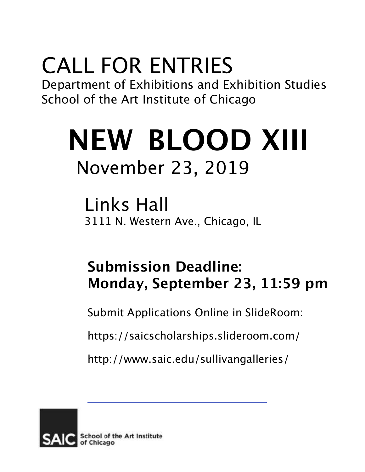## CALL FOR ENTRIES

Department of Exhibitions and Exhibition Studies School of the Art Institute of Chicago

# **NEW BLOOD XIII** November 23, 2019

Links Hall 3111 N. Western Ave., Chicago, IL

### **Submission Deadline: Monday, September 23, 11:59 pm**

Submit Applications Online in SlideRoom:

https://saicscholarships.slideroom.com/

<http://www.saic.edu/sullivangalleries/>

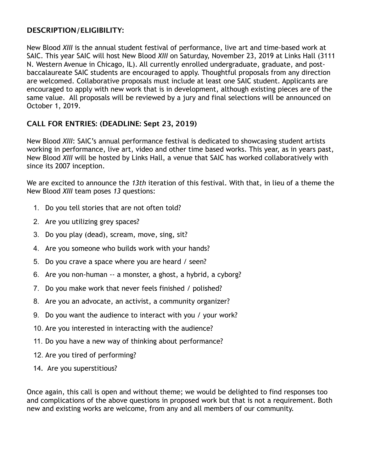#### **DESCRIPTION/ELIGIBILITY:**

New Blood *XIII* is the annual student festival of performance, live art and time-based work at SAIC. This year SAIC will host New Blood *XIII* on Saturday, November 23, 2019 at Links Hall (3111 N. Western Avenue in Chicago, IL). All currently enrolled undergraduate, graduate, and postbaccalaureate SAIC students are encouraged to apply. Thoughtful proposals from any direction are welcomed. Collaborative proposals must include at least one SAIC student. Applicants are encouraged to apply with new work that is in development, although existing pieces are of the same value. All proposals will be reviewed by a jury and final selections will be announced on October 1, 2019.

#### **CALL FOR ENTRIES: (DEADLINE: Sept 23, 2019)**

New Blood *XIII*: SAIC's annual performance festival is dedicated to showcasing student artists working in performance, live art, video and other time based works. This year, as in years past, New Blood *XIII* will be hosted by Links Hall, a venue that SAIC has worked collaboratively with since its 2007 inception.

We are excited to announce the *13th* iteration of this festival. With that, in lieu of a theme the New Blood *XIII* team poses *13* questions:

- 1. Do you tell stories that are not often told?
- 2. Are you utilizing grey spaces?
- 3. Do you play (dead), scream, move, sing, sit?
- 4. Are you someone who builds work with your hands?
- 5. Do you crave a space where you are heard / seen?
- 6. Are you non-human -- a monster, a ghost, a hybrid, a cyborg?
- 7. Do you make work that never feels finished / polished?
- 8. Are you an advocate, an activist, a community organizer?
- 9. Do you want the audience to interact with you / your work?
- 10. Are you interested in interacting with the audience?
- 11. Do you have a new way of thinking about performance?
- 12. Are you tired of performing?
- 14. Are you superstitious?

Once again, this call is open and without theme; we would be delighted to find responses too and complications of the above questions in proposed work but that is not a requirement. Both new and existing works are welcome, from any and all members of our community.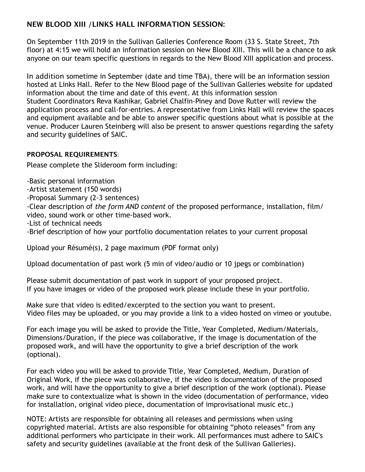#### **NEW BLOOD XIII /LINKS HALL INFORMATION SESSION:**

On September 11th 2019 in the Sullivan Galleries Conference Room (33 S. State Street, 7th floor) at 4:15 we will hold an information session on New Blood XIII. This will be a chance to ask anyone on our team specific questions in regards to the New Blood XIII application and process.

In addition sometime in September (date and time TBA), there will be an information session hosted at Links Hall. Refer to the New Blood page of the Sullivan Galleries website for updated information about the time and date of this event. At this information session Student Coordinators Reva Kashikar, Gabriel Chalfin-Piney and Dove Rutter will review the application process and call-for-entries. A representative from Links Hall will review the spaces and equipment available and be able to answer specific questions about what is possible at the venue. Producer Lauren Steinberg will also be present to answer questions regarding the safety and security guidelines of SAIC.

#### **PROPOSAL REQUIREMENTS**:

Please complete the Slideroom form including:

-Basic personal information

-Artist statement (150 words)

-Proposal Summary (2-3 sentences)

-Clear description of *the form AND content* of the proposed performance, installation, film/ video, sound work or other time-based work.

-List of technical needs

-Brief description of how your portfolio documentation relates to your current proposal

Upload your Résumé(s), 2 page maximum (PDF format only)

Upload documentation of past work (5 min of video/audio or 10 jpegs or combination)

Please submit documentation of past work in support of your proposed project. If you have images or video of the proposed work please include these in your portfolio.

Make sure that video is edited/excerpted to the section you want to present. Video files may be uploaded, or you may provide a link to a video hosted on vimeo or youtube.

For each image you will be asked to provide the Title, Year Completed, Medium/Materials, Dimensions/Duration, if the piece was collaborative, if the image is documentation of the proposed work, and will have the opportunity to give a brief description of the work (optional).

For each video you will be asked to provide Title, Year Completed, Medium, Duration of Original Work, if the piece was collaborative, if the video is documentation of the proposed work, and will have the opportunity to give a brief description of the work (optional). Please make sure to contextualize what is shown in the video (documentation of performance, video for installation, original video piece, documentation of improvisational music etc.)

NOTE: Artists are responsible for obtaining all releases and permissions when using copyrighted material. Artists are also responsible for obtaining "photo releases" from any additional performers who participate in their work. All performances must adhere to SAIC's safety and security guidelines (available at the front desk of the Sullivan Galleries).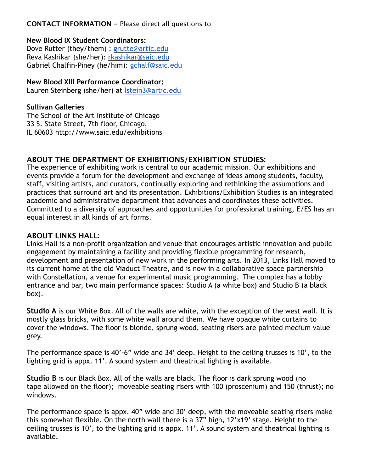**CONTACT INFORMATION -** Please direct all questions to:

#### **New Blood IX Student Coordinators:**

Dove Rutter (they/them) : [grutte@artic.edu](mailto:grutte@artic.edu) Reva Kashikar (she/her): [rkashikar@saic.edu](mailto:rkashikar@saic.edu) Gabriel Chalfin-Piney (he/him): [gchalf@saic.edu](mailto:gchalf@saic.edu)

#### **New Blood XIII Performance Coordinator:**

Lauren Steinberg (she/her) at [lstein3@artic.edu](mailto:lstein3@artic.edu)

#### **Sullivan Galleries**

The School of the Art Institute of Chicago 33 S. State Street, 7th floor, Chicago, IL 6060[3 http://www.saic.edu/exhibitions](http://www.saic.edu/exhibitions)

#### **ABOUT THE DEPARTMENT OF EXHIBITIONS/EXHIBITION STUDIES:**

The experience of exhibiting work is central to our academic mission. Our exhibitions and events provide a forum for the development and exchange of ideas among students, faculty, staff, visiting artists, and curators, continually exploring and rethinking the assumptions and practices that surround art and its presentation. Exhibitions/Exhibition Studies is an integrated academic and administrative department that advances and coordinates these activities. Committed to a diversity of approaches and opportunities for professional training, E/ES has an equal interest in all kinds of art forms.

#### **ABOUT LINKS HALL:**

Links Hall is a non-profit organization and venue that encourages artistic innovation and public engagement by maintaining a facility and providing flexible programming for research, development and presentation of new work in the performing arts. In 2013, Links Hall moved to its current home at the old Viaduct Theatre, and is now in a collaborative space partnership with Constellation, a venue for experimental music programming. The complex has a lobby entrance and bar, two main performance spaces: Studio A (a white box) and Studio B (a black box).

**Studio A** is our White Box. All of the walls are white, with the exception of the west wall. It is mostly glass bricks, with some white wall around them. We have opaque white curtains to cover the windows. The floor is blonde, sprung wood, seating risers are painted medium value grey.

The performance space is 40'-6" wide and 34' deep. Height to the ceiling trusses is 10', to the lighting grid is appx. 11'. A sound system and theatrical lighting is available.

**Studio B** is our Black Box. All of the walls are black. The floor is dark sprung wood (no tape allowed on the floor); moveable seating risers with 100 (proscenium) and 150 (thrust); no windows.

The performance space is appx. 40" wide and 30' deep, with the moveable seating risers make this somewhat flexible. On the north wall there is a 37" high, 12'x19' stage. Height to the ceiling trusses is 10', to the lighting grid is appx. 11'. A sound system and theatrical lighting is available.